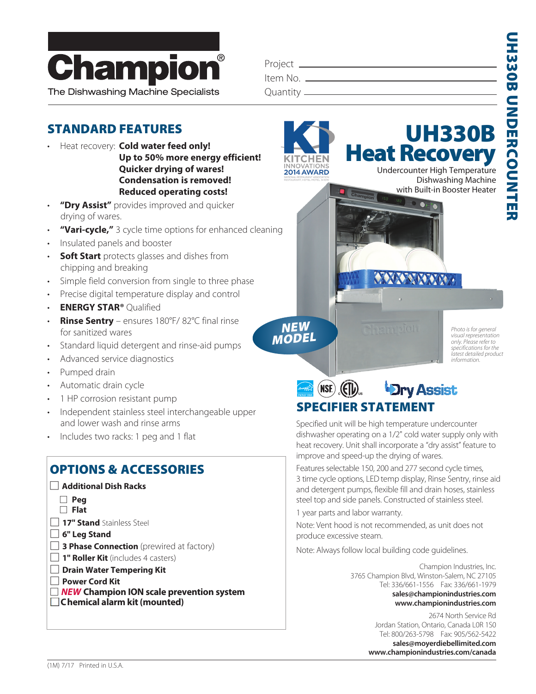

| iantity _______________ |  |  |
|-------------------------|--|--|
|                         |  |  |

## STANDARD FEATURES

• Heat recovery: **Cold water feed only!**

**Up to 50% more energy efficient! Quicker drying of wares! Condensation is removed! Reduced operating costs!**

- "Dry Assist" provides improved and quicker drying of wares.
- **"Vari-cycle,"** 3 cycle time options for enhanced cleaning
- Insulated panels and booster
- **Soft Start** protects glasses and dishes from chipping and breaking
- Simple field conversion from single to three phase
- Precise digital temperature display and control
- **ENERGY STAR®** Qualified
- **Rinse Sentry** ensures 180°F/ 82°C final rinse for sanitized wares
- Standard liquid detergent and rinse-aid pumps
- Advanced service diagnostics
- Pumped drain
- Automatic drain cycle
- 1 HP corrosion resistant pump
- Independent stainless steel interchangeable upper and lower wash and rinse arms
- Includes two racks: 1 peg and 1 flat

## OPTIONS & ACCESSORIES



- ::*NEW* **Champion ION scale prevention system**
- **Chemical alarm kit (mounted)**



**ANTONIA** 

UH330B

*Photo is for general visual representation only. Please refer to specifications for the latest detailed product information.*



Specified unit will be high temperature undercounter dishwasher operating on a 1/2" cold water supply only with heat recovery. Unit shall incorporate a "dry assist" feature to improve and speed-up the drying of wares.

Features selectable 150, 200 and 277 second cycle times, 3 time cycle options, LED temp display, Rinse Sentry, rinse aid and detergent pumps, flexible fill and drain hoses, stainless steel top and side panels. Constructed of stainless steel.

1 year parts and labor warranty.

NEW MODEL

2014 AWARD

Note: Vent hood is not recommended, as unit does not produce excessive steam.

Note: Always follow local building code guidelines.

Champion Industries, Inc. 3765 Champion Blvd, Winston-Salem, NC 27105 Tel: 336/661-1556 Fax: 336/661-1979  **sales@championindustries.com www.championindustries.com**

> 2674 North Service Rd Jordan Station, Ontario, Canada L0R 1S0 Tel: 800/263-5798 Fax: 905/562-5422  **sales@moyerdiebellimited.com www.championindustries.com/canada**